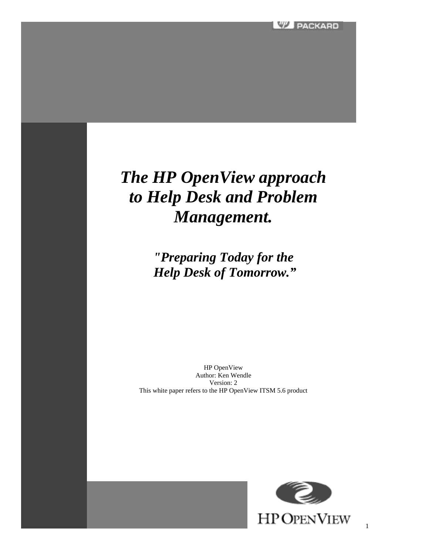# *The HP OpenView approach to Help Desk and Problem Management.*

*"Preparing Today for the Help Desk of Tomorrow."*

HP OpenView Author: Ken Wendle Version: 2 This white paper refers to the HP OpenView ITSM 5.6 product

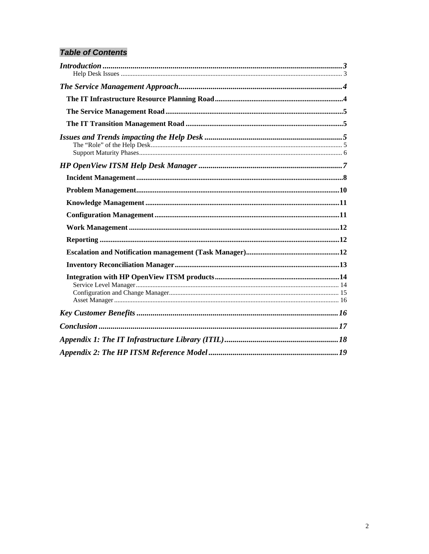# **Table of Contents**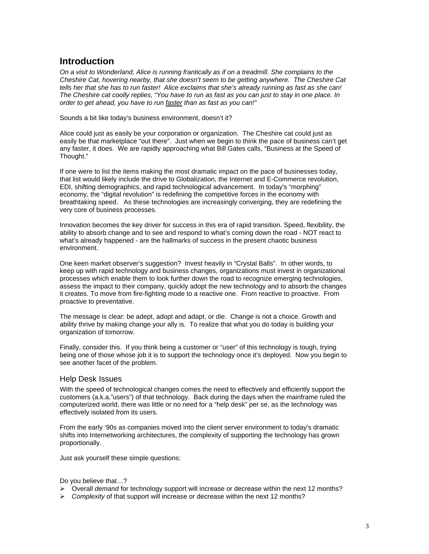## **Introduction**

*On a visit to Wonderland, Alice is running frantically as if on a treadmill. She complains to the Cheshire Cat, hovering nearby, that she doesn't seem to be getting anywhere. The Cheshire Cat tells her that she has to run faster! Alice exclaims that she's already running as fast as she can! The Cheshire cat coolly replies, "You have to run as fast as you can just to stay in one place. In order to get ahead, you have to run faster than as fast as you can!"*

Sounds a bit like today's business environment, doesn't it?

Alice could just as easily be your corporation or organization. The Cheshire cat could just as easily be that marketplace "out there". Just when we begin to think the pace of business can't get any faster, it does. We are rapidly approaching what Bill Gates calls, "Business at the Speed of Thought."

If one were to list the items making the most dramatic impact on the pace of businesses today, that list would likely include the drive to Globalization, the Internet and E-Commerce revolution, EDI, shifting demographics, and rapid technological advancement. In today's "morphing" economy, the "digital revolution" is redefining the competitive forces in the economy with breathtaking speed. As these technologies are increasingly converging, they are redefining the very core of business processes.

Innovation becomes the key driver for success in this era of rapid transition. Speed, flexibility, the ability to absorb change and to see and respond to what's coming down the road - NOT react to what's already happened - are the hallmarks of success in the present chaotic business environment.

One keen market observer's suggestion? Invest heavily in "Crystal Balls". In other words, to keep up with rapid technology and business changes, organizations must invest in organizational processes which enable them to look further down the road to recognize emerging technologies, assess the impact to their company, quickly adopt the new technology and to absorb the changes it creates. To move from fire-fighting mode to a reactive one. From reactive to proactive. From proactive to preventative.

The message is clear: be adept, adopt and adapt, or die. Change is not a choice. Growth and ability thrive by making change your ally is. To realize that what you do today is building your organization of tomorrow.

Finally, consider this. If you think being a customer or "user" of this technology is tough, trying being one of those whose job it is to support the technology once it's deployed. Now you begin to see another facet of the problem.

#### Help Desk Issues

With the speed of technological changes comes the need to effectively and efficiently support the customers (a.k.a."users") of that technology. Back during the days when the mainframe ruled the computerized world, there was little or no need for a "help desk" per se, as the technology was effectively isolated from its users.

From the early '90s as companies moved into the client server environment to today's dramatic shifts into Internetworking architectures, the complexity of supporting the technology has grown proportionally.

Just ask yourself these simple questions:

Do you believe that…?

- ÿ Overall *demand* for technology support will increase or decrease within the next 12 months?
- ÿ *Complexity* of that support will increase or decrease within the next 12 months?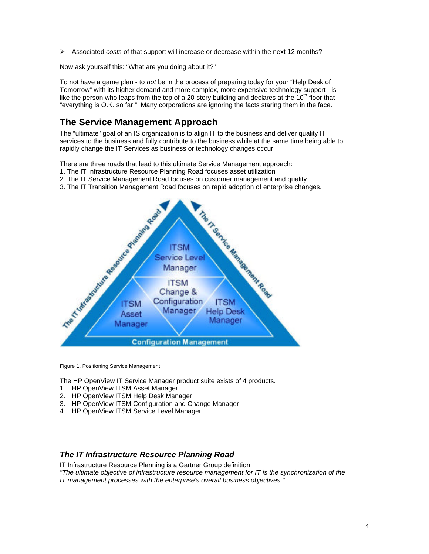ÿ Associated *costs* of that support will increase or decrease within the next 12 months?

Now ask yourself this: "What are you doing about it?"

To not have a game plan - to *not* be in the process of preparing today for your "Help Desk of Tomorrow" with its higher demand and more complex, more expensive technology support - is like the person who leaps from the top of a 20-story building and declares at the  $10<sup>th</sup>$  floor that "everything is O.K. so far." Many corporations are ignoring the facts staring them in the face.

# **The Service Management Approach**

The "ultimate" goal of an IS organization is to align IT to the business and deliver quality IT services to the business and fully contribute to the business while at the same time being able to rapidly change the IT Services as business or technology changes occur.

There are three roads that lead to this ultimate Service Management approach:

- 1. The IT Infrastructure Resource Planning Road focuses asset utilization
- 2. The IT Service Management Road focuses on customer management and quality.
- 3. The IT Transition Management Road focuses on rapid adoption of enterprise changes.



Figure 1. Positioning Service Management

The HP OpenView IT Service Manager product suite exists of 4 products.

- 1. HP OpenView ITSM Asset Manager
- 2. HP OpenView ITSM Help Desk Manager
- 3. HP OpenView ITSM Configuration and Change Manager
- 4. HP OpenView ITSM Service Level Manager

#### *The IT Infrastructure Resource Planning Road*

IT Infrastructure Resource Planning is a Gartner Group definition:

*"The ultimate objective of infrastructure resource management for IT is the synchronization of the IT management processes with the enterprise's overall business objectives."*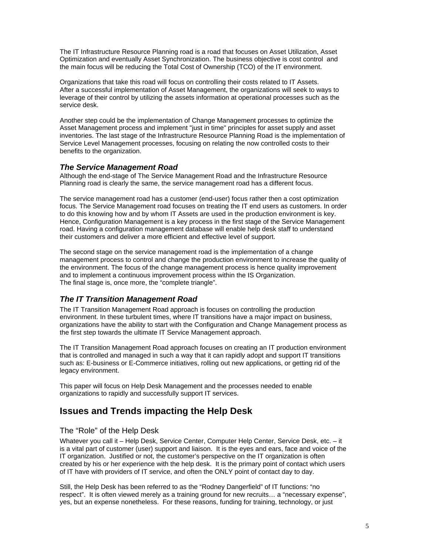The IT Infrastructure Resource Planning road is a road that focuses on Asset Utilization, Asset Optimization and eventually Asset Synchronization. The business objective is cost control and the main focus will be reducing the Total Cost of Ownership (TCO) of the IT environment.

Organizations that take this road will focus on controlling their costs related to IT Assets. After a successful implementation of Asset Management, the organizations will seek to ways to leverage of their control by utilizing the assets information at operational processes such as the service desk.

Another step could be the implementation of Change Management processes to optimize the Asset Management process and implement "just in time" principles for asset supply and asset inventories. The last stage of the Infrastructure Resource Planning Road is the implementation of Service Level Management processes, focusing on relating the now controlled costs to their benefits to the organization.

## *The Service Management Road*

Although the end-stage of The Service Management Road and the Infrastructure Resource Planning road is clearly the same, the service management road has a different focus.

The service management road has a customer (end-user) focus rather then a cost optimization focus. The Service Management road focuses on treating the IT end users as customers. In order to do this knowing how and by whom IT Assets are used in the production environment is key. Hence, Configuration Management is a key process in the first stage of the Service Management road. Having a configuration management database will enable help desk staff to understand their customers and deliver a more efficient and effective level of support.

The second stage on the service management road is the implementation of a change management process to control and change the production environment to increase the quality of the environment. The focus of the change management process is hence quality improvement and to implement a continuous improvement process within the IS Organization. The final stage is, once more, the "complete triangle".

## *The IT Transition Management Road*

The IT Transition Management Road approach is focuses on controlling the production environment. In these turbulent times, where IT transitions have a major impact on business, organizations have the ability to start with the Configuration and Change Management process as the first step towards the ultimate IT Service Management approach.

The IT Transition Management Road approach focuses on creating an IT production environment that is controlled and managed in such a way that it can rapidly adopt and support IT transitions such as: E-business or E-Commerce initiatives, rolling out new applications, or getting rid of the legacy environment.

This paper will focus on Help Desk Management and the processes needed to enable organizations to rapidly and successfully support IT services.

# **Issues and Trends impacting the Help Desk**

## The "Role" of the Help Desk

Whatever you call it – Help Desk, Service Center, Computer Help Center, Service Desk, etc. – it is a vital part of customer (user) support and liaison. It is the eyes and ears, face and voice of the IT organization. Justified or not, the customer's perspective on the IT organization is often created by his or her experience with the help desk. It is the primary point of contact which users of IT have with providers of IT service, and often the ONLY point of contact day to day.

Still, the Help Desk has been referred to as the "Rodney Dangerfield" of IT functions: "no respect". It is often viewed merely as a training ground for new recruits… a "necessary expense", yes, but an expense nonetheless. For these reasons, funding for training, technology, or just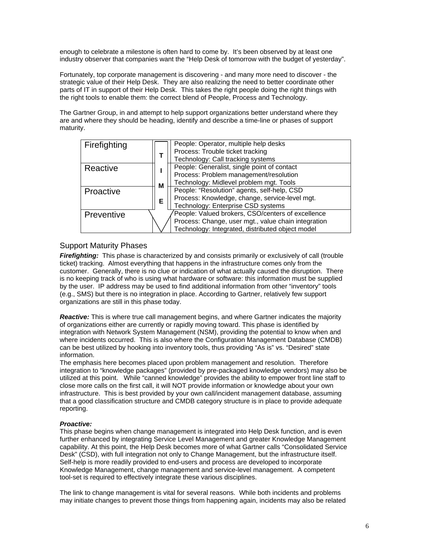enough to celebrate a milestone is often hard to come by. It's been observed by at least one industry observer that companies want the "Help Desk of tomorrow with the budget of yesterday".

Fortunately, top corporate management is discovering - and many more need to discover - the strategic value of their Help Desk. They are also realizing the need to better coordinate other parts of IT in support of their Help Desk. This takes the right people doing the right things with the right tools to enable them: the correct blend of People, Process and Technology.

The Gartner Group, in and attempt to help support organizations better understand where they are and where they should be heading, identify and describe a time-line or phases of support maturity.



## Support Maturity Phases

*Firefighting:* This phase is characterized by and consists primarily or exclusively of call (trouble ticket) tracking. Almost everything that happens in the infrastructure comes only from the customer. Generally, there is no clue or indication of what actually caused the disruption. There is no keeping track of who is using what hardware or software: this information must be supplied by the user. IP address may be used to find additional information from other "inventory" tools (e.g., SMS) but there is no integration in place. According to Gartner, relatively few support organizations are still in this phase today.

*Reactive:* This is where true call management begins, and where Gartner indicates the majority of organizations either are currently or rapidly moving toward. This phase is identified by integration with Network System Management (NSM), providing the potential to know when and where incidents occurred. This is also where the Configuration Management Database (CMDB) can be best utilized by hooking into inventory tools, thus providing "As is" vs. "Desired" state information.

The emphasis here becomes placed upon problem management and resolution. Therefore integration to "knowledge packages" (provided by pre-packaged knowledge vendors) may also be utilized at this point. While "canned knowledge" provides the ability to empower front line staff to close more calls on the first call, it will NOT provide information or knowledge about your own infrastructure. This is best provided by your own call/incident management database, assuming that a good classification structure and CMDB category structure is in place to provide adequate reporting.

#### *Proactive:*

This phase begins when change management is integrated into Help Desk function, and is even further enhanced by integrating Service Level Management and greater Knowledge Management capability. At this point, the Help Desk becomes more of what Gartner calls "Consolidated Service Desk" (CSD), with full integration not only to Change Management, but the infrastructure itself. Self-help is more readily provided to end-users and process are developed to incorporate Knowledge Management, change management and service-level management. A competent tool-set is required to effectively integrate these various disciplines.

The link to change management is vital for several reasons. While both incidents and problems may initiate changes to prevent those things from happening again, incidents may also be related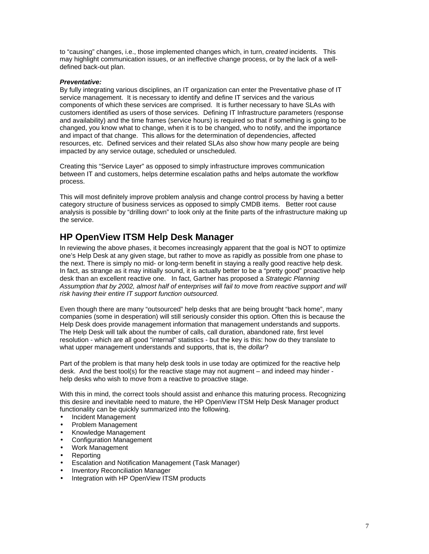to "causing" changes, i.e., those implemented changes which, in turn, *created* incidents. This may highlight communication issues, or an ineffective change process, or by the lack of a welldefined back-out plan.

#### *Preventative:*

By fully integrating various disciplines, an IT organization can enter the Preventative phase of IT service management. It is necessary to identify and define IT services and the various components of which these services are comprised. It is further necessary to have SLAs with customers identified as users of those services. Defining IT Infrastructure parameters (response and availability) and the time frames (service hours) is required so that if something is going to be changed, you know what to change, when it is to be changed, who to notify, and the importance and impact of that change. This allows for the determination of dependencies, affected resources, etc. Defined services and their related SLAs also show how many people are being impacted by any service outage, scheduled or unscheduled.

Creating this "Service Layer" as opposed to simply infrastructure improves communication between IT and customers, helps determine escalation paths and helps automate the workflow process.

This will most definitely improve problem analysis and change control process by having a better category structure of business services as opposed to simply CMDB items. Better root cause analysis is possible by "drilling down" to look only at the finite parts of the infrastructure making up the service.

## **HP OpenView ITSM Help Desk Manager**

In reviewing the above phases, it becomes increasingly apparent that the goal is NOT to optimize one's Help Desk at any given stage, but rather to move as rapidly as possible from one phase to the next. There is simply no mid- or long-term benefit in staying a really good reactive help desk. In fact, as strange as it may initially sound, it is actually better to be a "pretty good" proactive help desk than an excellent reactive one. In fact, Gartner has proposed a *Strategic Planning Assumption that by 2002, almost half of enterprises will fail to move from reactive support and will risk having their entire IT support function outsourced.*

Even though there are many "outsourced" help desks that are being brought "back home", many companies (some in desperation) will still seriously consider this option. Often this is because the Help Desk does provide management information that management understands and supports. The Help Desk will talk about the number of calls, call duration, abandoned rate, first level resolution - which are all good "internal" statistics - but the key is this: how do they translate to what upper management understands and supports, that is, the *dollar*?

Part of the problem is that many help desk tools in use today are optimized for the reactive help desk. And the best tool(s) for the reactive stage may not augment – and indeed may hinder help desks who wish to move from a reactive to proactive stage.

With this in mind, the correct tools should assist and enhance this maturing process. Recognizing this desire and inevitable need to mature, the HP OpenView ITSM Help Desk Manager product functionality can be quickly summarized into the following.

- Incident Management
- Problem Management
- Knowledge Management
- Configuration Management
- Work Management
- Reporting
- Escalation and Notification Management (Task Manager)
- Inventory Reconciliation Manager
- Integration with HP OpenView ITSM products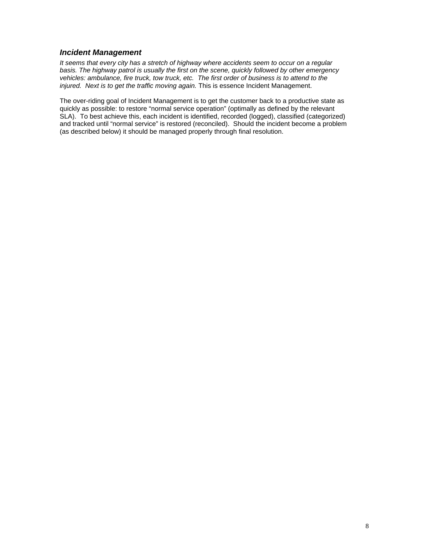## *Incident Management*

*It seems that every city has a stretch of highway where accidents seem to occur on a regular basis. The highway patrol is usually the first on the scene, quickly followed by other emergency vehicles: ambulance, fire truck, tow truck, etc. The first order of business is to attend to the injured. Next is to get the traffic moving again.* This is essence Incident Management.

The over-riding goal of Incident Management is to get the customer back to a productive state as quickly as possible: to restore "normal service operation" (optimally as defined by the relevant SLA). To best achieve this, each incident is identified, recorded (logged), classified (categorized) and tracked until "normal service" is restored (reconciled). Should the incident become a problem (as described below) it should be managed properly through final resolution.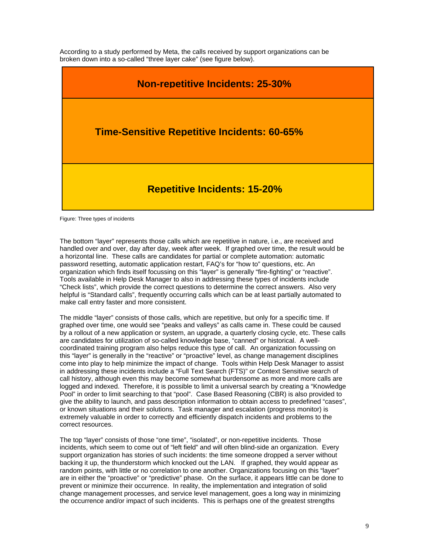According to a study performed by Meta, the calls received by support organizations can be broken down into a so-called "three layer cake" (see figure below).



Figure: Three types of incidents

The bottom "layer" represents those calls which are repetitive in nature, i.e., are received and handled over and over, day after day, week after week. If graphed over time, the result would be a horizontal line. These calls are candidates for partial or complete automation: automatic password resetting, automatic application restart, FAQ's for "how to" questions, etc. An organization which finds itself focussing on this "layer" is generally "fire-fighting" or "reactive". Tools available in Help Desk Manager to also in addressing these types of incidents include "Check lists", which provide the correct questions to determine the correct answers. Also very helpful is "Standard calls", frequently occurring calls which can be at least partially automated to make call entry faster and more consistent.

The middle "layer" consists of those calls, which are repetitive, but only for a specific time. If graphed over time, one would see "peaks and valleys" as calls came in. These could be caused by a rollout of a new application or system, an upgrade, a quarterly closing cycle, etc. These calls are candidates for utilization of so-called knowledge base, "canned" or historical. A wellcoordinated training program also helps reduce this type of call. An organization focussing on this "layer" is generally in the "reactive" or "proactive" level, as change management disciplines come into play to help minimize the impact of change. Tools within Help Desk Manager to assist in addressing these incidents include a "Full Text Search (FTS)" or Context Sensitive search of call history, although even this may become somewhat burdensome as more and more calls are logged and indexed. Therefore, it is possible to limit a universal search by creating a "Knowledge Pool" in order to limit searching to that "pool". Case Based Reasoning (CBR) is also provided to give the ability to launch, and pass description information to obtain access to predefined "cases", or known situations and their solutions. Task manager and escalation (progress monitor) is extremely valuable in order to correctly and efficiently dispatch incidents and problems to the correct resources.

The top "layer" consists of those "one time", "isolated", or non-repetitive incidents. Those incidents, which seem to come out of "left field" and will often blind-side an organization. Every support organization has stories of such incidents: the time someone dropped a server without backing it up, the thunderstorm which knocked out the LAN. If graphed, they would appear as random points, with little or no correlation to one another. Organizations focusing on this "layer" are in either the "proactive" or "predictive" phase. On the surface, it appears little can be done to prevent or minimize their occurrence. In reality, the implementation and integration of solid change management processes, and service level management, goes a long way in minimizing the occurrence and/or impact of such incidents. This is perhaps one of the greatest strengths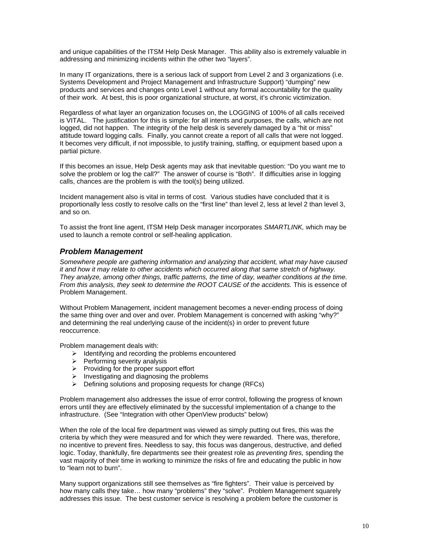and unique capabilities of the ITSM Help Desk Manager. This ability also is extremely valuable in addressing and minimizing incidents within the other two "layers".

In many IT organizations, there is a serious lack of support from Level 2 and 3 organizations (i.e. Systems Development and Project Management and Infrastructure Support) "dumping" new products and services and changes onto Level 1 without any formal accountability for the quality of their work. At best, this is poor organizational structure, at worst, it's chronic victimization.

Regardless of what layer an organization focuses on, the LOGGING of 100% of all calls received is VITAL. The justification for this is simple: for all intents and purposes, the calls, which are not logged, did not happen. The integrity of the help desk is severely damaged by a "hit or miss" attitude toward logging calls. Finally, you cannot create a report of all calls that were not logged. It becomes very difficult, if not impossible, to justify training, staffing, or equipment based upon a partial picture.

If this becomes an issue, Help Desk agents may ask that inevitable question: "Do you want me to solve the problem or log the call?" The answer of course is "Both". If difficulties arise in logging calls, chances are the problem is with the tool(s) being utilized.

Incident management also is vital in terms of cost. Various studies have concluded that it is proportionally less costly to resolve calls on the "first line" than level 2, less at level 2 than level 3, and so on.

To assist the front line agent, ITSM Help Desk manager incorporates *SMARTLINK,* which may be used to launch a remote control or self-healing application.

#### *Problem Management*

*Somewhere people are gathering information and analyzing that accident, what may have caused it and how it may relate to other accidents which occurred along that same stretch of highway. They analyze, among other things, traffic patterns, the time of day, weather conditions at the time. From this analysis, they seek to determine the ROOT CAUSE of the accidents.* This is essence of Problem Management.

Without Problem Management, incident management becomes a never-ending process of doing the same thing over and over and over. Problem Management is concerned with asking "why?" and determining the real underlying cause of the incident(s) in order to prevent future reoccurrence.

Problem management deals with:

- $\triangleright$  Identifying and recording the problems encountered
- $\triangleright$  Performing severity analysis
- $\triangleright$  Providing for the proper support effort
- Investigating and diagnosing the problems
- $\triangleright$  Defining solutions and proposing requests for change (RFCs)

Problem management also addresses the issue of error control, following the progress of known errors until they are effectively eliminated by the successful implementation of a change to the infrastructure. (See "Integration with other OpenView products" below)

When the role of the local fire department was viewed as simply putting out fires, this was the criteria by which they were measured and for which they were rewarded. There was, therefore, no incentive to prevent fires. Needless to say, this focus was dangerous, destructive, and defied logic. Today, thankfully, fire departments see their greatest role as *preventing fires,* spending the vast majority of their time in working to minimize the risks of fire and educating the public in how to "learn not to burn".

Many support organizations still see themselves as "fire fighters". Their value is perceived by how many calls they take… how many "problems" they "solve". Problem Management squarely addresses this issue. The best customer service is resolving a problem before the customer is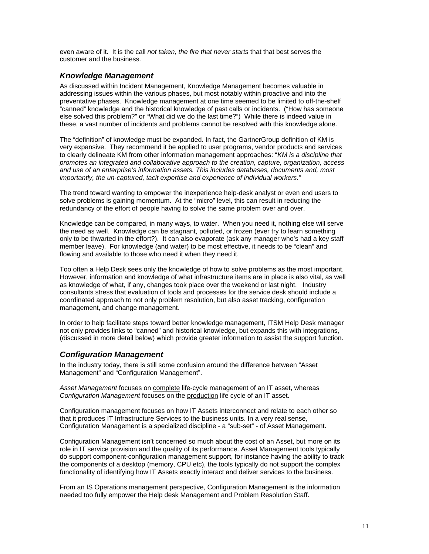even aware of it. It is the call *not taken, the fire that never starts* that that best serves the customer and the business.

#### *Knowledge Management*

As discussed within Incident Management, Knowledge Management becomes valuable in addressing issues within the various phases, but most notably within proactive and into the preventative phases. Knowledge management at one time seemed to be limited to off-the-shelf "canned" knowledge and the historical knowledge of past calls or incidents. ("How has someone else solved this problem?" or "What did we do the last time?") While there is indeed value in these, a vast number of incidents and problems cannot be resolved with this knowledge alone.

The "definition" of knowledge must be expanded. In fact, the GartnerGroup definition of KM is very expansive. They recommend it be applied to user programs, vendor products and services to clearly delineate KM from other information management approaches: "*KM is a discipline that promotes an integrated and collaborative approach to the creation, capture, organization, access and use of an enterprise's information assets. This includes databases, documents and, most importantly, the un-captured, tacit expertise and experience of individual workers."*

The trend toward wanting to empower the inexperience help-desk analyst or even end users to solve problems is gaining momentum. At the "micro" level, this can result in reducing the redundancy of the effort of people having to solve the same problem over and over.

Knowledge can be compared, in many ways, to water. When you need it, nothing else will serve the need as well. Knowledge can be stagnant, polluted, or frozen (ever try to learn something only to be thwarted in the effort?). It can also evaporate (ask any manager who's had a key staff member leave). For knowledge (and water) to be most effective, it needs to be "clean" and flowing and available to those who need it when they need it.

Too often a Help Desk sees only the knowledge of how to solve problems as the most important. However, information and knowledge of what infrastructure items are in place is also vital, as well as knowledge of what, if any, changes took place over the weekend or last night. Industry consultants stress that evaluation of tools and processes for the service desk should include a coordinated approach to not only problem resolution, but also asset tracking, configuration management, and change management.

In order to help facilitate steps toward better knowledge management, ITSM Help Desk manager not only provides links to "canned" and historical knowledge, but expands this with integrations, (discussed in more detail below) which provide greater information to assist the support function.

## *Configuration Management*

In the industry today, there is still some confusion around the difference between "Asset Management" and "Configuration Management".

*Asset Management* focuses on complete life-cycle management of an IT asset, whereas *Configuration Management* focuses on the production life cycle of an IT asset.

Configuration management focuses on how IT Assets interconnect and relate to each other so that it produces IT Infrastructure Services to the business units. In a very real sense, Configuration Management is a specialized discipline - a "sub-set" - of Asset Management.

Configuration Management isn't concerned so much about the cost of an Asset, but more on its role in IT service provision and the quality of its performance. Asset Management tools typically do support component-configuration management support, for instance having the ability to track the components of a desktop (memory, CPU etc), the tools typically do not support the complex functionality of identifying how IT Assets exactly interact and deliver services to the business.

From an IS Operations management perspective, Configuration Management is the information needed too fully empower the Help desk Management and Problem Resolution Staff.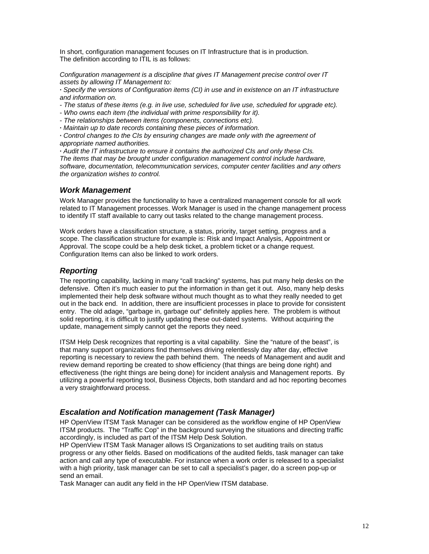In short, configuration management focuses on IT Infrastructure that is in production. The definition according to ITIL is as follows:

*Configuration management is a discipline that gives IT Management precise control over IT assets by allowing IT Management to:*

**·** *Specify the versions of Configuration items (CI) in use and in existence on an IT infrastructure and information on.*

- *The status of these items (e.g. in live use, scheduled for live use, scheduled for upgrade etc).*
- *Who owns each item (the individual with prime responsibility for it).*
- *The relationships between items (components, connections etc).*
- **·** *Maintain up to date records containing these pieces of information.*

**·** *Control changes to the CIs by ensuring changes are made only with the agreement of appropriate named authorities.*

**·** *Audit the IT infrastructure to ensure it contains the authorized CIs and only these CIs. The items that may be brought under configuration management control include hardware, software, documentation, telecommunication services, computer center facilities and any others the organization wishes to control.*

#### *Work Management*

Work Manager provides the functionality to have a centralized management console for all work related to IT Management processes. Work Manager is used in the change management process to identify IT staff available to carry out tasks related to the change management process.

Work orders have a classification structure, a status, priority, target setting, progress and a scope. The classification structure for example is: Risk and Impact Analysis, Appointment or Approval. The scope could be a help desk ticket, a problem ticket or a change request. Configuration Items can also be linked to work orders.

## *Reporting*

The reporting capability, lacking in many "call tracking" systems, has put many help desks on the defensive. Often it's much easier to put the information in than get it out. Also, many help desks implemented their help desk software without much thought as to what they really needed to get out in the back end. In addition, there are insufficient processes in place to provide for consistent entry. The old adage, "garbage in, garbage out" definitely applies here. The problem is without solid reporting, it is difficult to justify updating these out-dated systems. Without acquiring the update, management simply cannot get the reports they need.

ITSM Help Desk recognizes that reporting is a vital capability. Sine the "nature of the beast", is that many support organizations find themselves driving relentlessly day after day, effective reporting is necessary to review the path behind them. The needs of Management and audit and review demand reporting be created to show efficiency (that things are being done right) and effectiveness (the right things are being done) for incident analysis and Management reports. By utilizing a powerful reporting tool, Business Objects, both standard and ad hoc reporting becomes a very straightforward process.

## *Escalation and Notification management (Task Manager)*

HP OpenView ITSM Task Manager can be considered as the workflow engine of HP OpenView ITSM products. The "Traffic Cop" in the background surveying the situations and directing traffic accordingly, is included as part of the ITSM Help Desk Solution.

HP OpenView ITSM Task Manager allows IS Organizations to set auditing trails on status progress or any other fields. Based on modifications of the audited fields, task manager can take action and call any type of executable. For instance when a work order is released to a specialist with a high priority, task manager can be set to call a specialist's pager, do a screen pop-up or send an email.

Task Manager can audit any field in the HP OpenView ITSM database.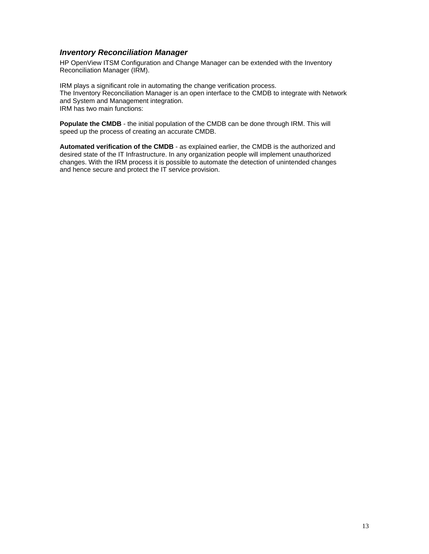## *Inventory Reconciliation Manager*

HP OpenView ITSM Configuration and Change Manager can be extended with the Inventory Reconciliation Manager (IRM).

IRM plays a significant role in automating the change verification process. The Inventory Reconciliation Manager is an open interface to the CMDB to integrate with Network and System and Management integration. IRM has two main functions:

**Populate the CMDB** - the initial population of the CMDB can be done through IRM. This will speed up the process of creating an accurate CMDB.

**Automated verification of the CMDB** - as explained earlier, the CMDB is the authorized and desired state of the IT Infrastructure. In any organization people will implement unauthorized changes. With the IRM process it is possible to automate the detection of unintended changes and hence secure and protect the IT service provision.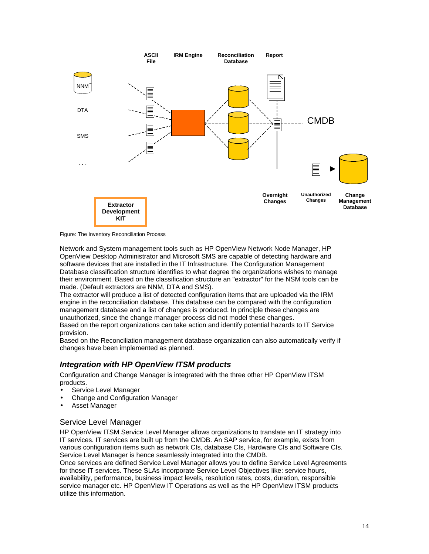

Figure: The Inventory Reconciliation Process

Network and System management tools such as HP OpenView Network Node Manager, HP OpenView Desktop Administrator and Microsoft SMS are capable of detecting hardware and software devices that are installed in the IT Infrastructure. The Configuration Management Database classification structure identifies to what degree the organizations wishes to manage their environment. Based on the classification structure an "extractor" for the NSM tools can be made. (Default extractors are NNM, DTA and SMS).

The extractor will produce a list of detected configuration items that are uploaded via the IRM engine in the reconciliation database. This database can be compared with the configuration management database and a list of changes is produced. In principle these changes are unauthorized, since the change manager process did not model these changes.

Based on the report organizations can take action and identify potential hazards to IT Service provision.

Based on the Reconciliation management database organization can also automatically verify if changes have been implemented as planned.

## *Integration with HP OpenView ITSM products*

Configuration and Change Manager is integrated with the three other HP OpenView ITSM products.

- Service Level Manager
- Change and Configuration Manager
- Asset Manager

## Service Level Manager

HP OpenView ITSM Service Level Manager allows organizations to translate an IT strategy into IT services. IT services are built up from the CMDB. An SAP service, for example, exists from various configuration items such as network CIs, database CIs, Hardware CIs and Software CIs. Service Level Manager is hence seamlessly integrated into the CMDB.

Once services are defined Service Level Manager allows you to define Service Level Agreements for those IT services. These SLAs incorporate Service Level Objectives like: service hours, availability, performance, business impact levels, resolution rates, costs, duration, responsible service manager etc. HP OpenView IT Operations as well as the HP OpenView ITSM products utilize this information.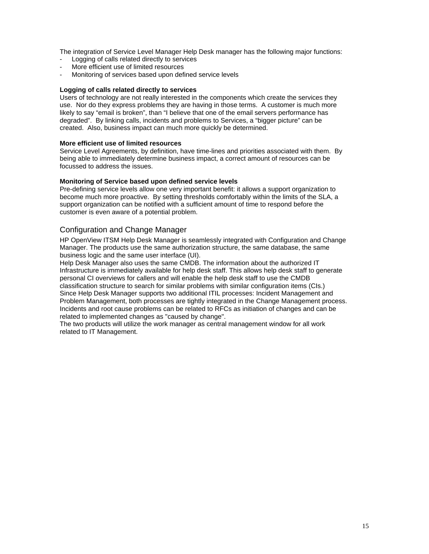The integration of Service Level Manager Help Desk manager has the following major functions:

- Logging of calls related directly to services
- More efficient use of limited resources
- Monitoring of services based upon defined service levels

#### **Logging of calls related directly to services**

Users of technology are not really interested in the components which create the services they use. Nor do they express problems they are having in those terms. A customer is much more likely to say "email is broken", than "I believe that one of the email servers performance has degraded". By linking calls, incidents and problems to Services, a "bigger picture" can be created. Also, business impact can much more quickly be determined.

#### **More efficient use of limited resources**

Service Level Agreements, by definition, have time-lines and priorities associated with them. By being able to immediately determine business impact, a correct amount of resources can be focussed to address the issues.

#### **Monitoring of Service based upon defined service levels**

Pre-defining service levels allow one very important benefit: it allows a support organization to become much more proactive. By setting thresholds comfortably within the limits of the SLA, a support organization can be notified with a sufficient amount of time to respond before the customer is even aware of a potential problem.

#### Configuration and Change Manager

HP OpenView ITSM Help Desk Manager is seamlessly integrated with Configuration and Change Manager. The products use the same authorization structure, the same database, the same business logic and the same user interface (UI).

Help Desk Manager also uses the same CMDB. The information about the authorized IT Infrastructure is immediately available for help desk staff. This allows help desk staff to generate personal CI overviews for callers and will enable the help desk staff to use the CMDB classification structure to search for similar problems with similar configuration items (CIs.) Since Help Desk Manager supports two additional ITIL processes: Incident Management and Problem Management, both processes are tightly integrated in the Change Management process. Incidents and root cause problems can be related to RFCs as initiation of changes and can be related to implemented changes as "caused by change".

The two products will utilize the work manager as central management window for all work related to IT Management.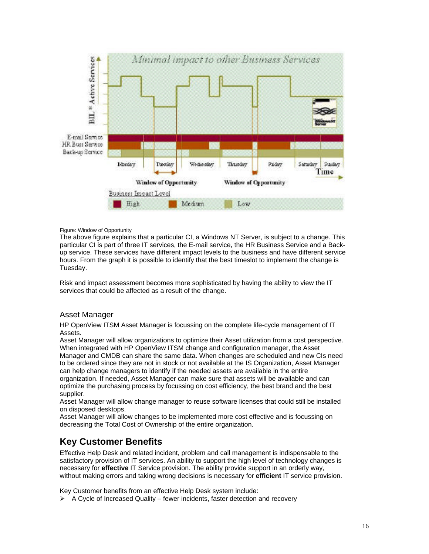

#### Figure: Window of Opportunity

The above figure explains that a particular CI, a Windows NT Server, is subject to a change. This particular CI is part of three IT services, the E-mail service, the HR Business Service and a Backup service. These services have different impact levels to the business and have different service hours. From the graph it is possible to identify that the best timeslot to implement the change is Tuesday.

Risk and impact assessment becomes more sophisticated by having the ability to view the IT services that could be affected as a result of the change.

#### Asset Manager

HP OpenView ITSM Asset Manager is focussing on the complete life-cycle management of IT Assets.

Asset Manager will allow organizations to optimize their Asset utilization from a cost perspective. When integrated with HP OpenView ITSM change and configuration manager, the Asset Manager and CMDB can share the same data. When changes are scheduled and new CIs need to be ordered since they are not in stock or not available at the IS Organization, Asset Manager can help change managers to identify if the needed assets are available in the entire organization. If needed, Asset Manager can make sure that assets will be available and can optimize the purchasing process by focussing on cost efficiency, the best brand and the best supplier.

Asset Manager will allow change manager to reuse software licenses that could still be installed on disposed desktops.

Asset Manager will allow changes to be implemented more cost effective and is focussing on decreasing the Total Cost of Ownership of the entire organization.

## **Key Customer Benefits**

Effective Help Desk and related incident, problem and call management is indispensable to the satisfactory provision of IT services. An ability to support the high level of technology changes is necessary for **effective** IT Service provision. The ability provide support in an orderly way, without making errors and taking wrong decisions is necessary for **efficient** IT service provision.

Key Customer benefits from an effective Help Desk system include:

 $\triangleright$  A Cycle of Increased Quality – fewer incidents, faster detection and recovery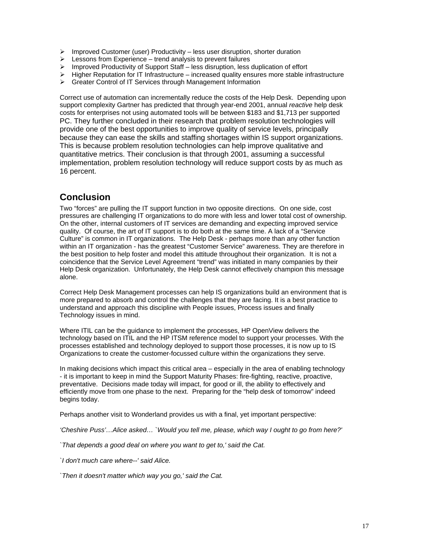- $\triangleright$  Improved Customer (user) Productivity less user disruption, shorter duration
- $\triangleright$  Lessons from Experience trend analysis to prevent failures
- $\triangleright$  Improved Productivity of Support Staff less disruption, less duplication of effort
- $\triangleright$  Higher Reputation for IT Infrastructure increased quality ensures more stable infrastructure
- ▶ Greater Control of IT Services through Management Information

Correct use of automation can incrementally reduce the costs of the Help Desk. Depending upon support complexity Gartner has predicted that through year-end 2001, annual *reactive* help desk costs for enterprises not using automated tools will be between \$183 and \$1,713 per supported PC. They further concluded in their research that problem resolution technologies will provide one of the best opportunities to improve quality of service levels, principally because they can ease the skills and staffing shortages within IS support organizations. This is because problem resolution technologies can help improve qualitative and quantitative metrics. Their conclusion is that through 2001, assuming a successful implementation, problem resolution technology will reduce support costs by as much as 16 percent.

## **Conclusion**

Two "forces" are pulling the IT support function in two opposite directions. On one side, cost pressures are challenging IT organizations to do more with less and lower total cost of ownership. On the other, internal customers of IT services are demanding and expecting improved service quality. Of course, the art of IT support is to do both at the same time. A lack of a "Service Culture" is common in IT organizations. The Help Desk - perhaps more than any other function within an IT organization - has the greatest "Customer Service" awareness. They are therefore in the best position to help foster and model this attitude throughout their organization. It is not a coincidence that the Service Level Agreement "trend" was initiated in many companies by their Help Desk organization. Unfortunately, the Help Desk cannot effectively champion this message alone.

Correct Help Desk Management processes can help IS organizations build an environment that is more prepared to absorb and control the challenges that they are facing. It is a best practice to understand and approach this discipline with People issues, Process issues and finally Technology issues in mind.

Where ITIL can be the guidance to implement the processes, HP OpenView delivers the technology based on ITIL and the HP ITSM reference model to support your processes. With the processes established and technology deployed to support those processes, it is now up to IS Organizations to create the customer-focussed culture within the organizations they serve.

In making decisions which impact this critical area – especially in the area of enabling technology - it is important to keep in mind the Support Maturity Phases: fire-fighting, reactive, proactive, preventative. Decisions made today will impact, for good or ill, the ability to effectively and efficiently move from one phase to the next. Preparing for the "help desk of tomorrow" indeed begins today.

Perhaps another visit to Wonderland provides us with a final, yet important perspective:

*'Cheshire Puss'…Alice asked… `Would you tell me, please, which way I ought to go from here?'*

*`That depends a good deal on where you want to get to,' said the Cat.*

*`I don't much care where--' said Alice.*

*`Then it doesn't matter which way you go,' said the Cat.*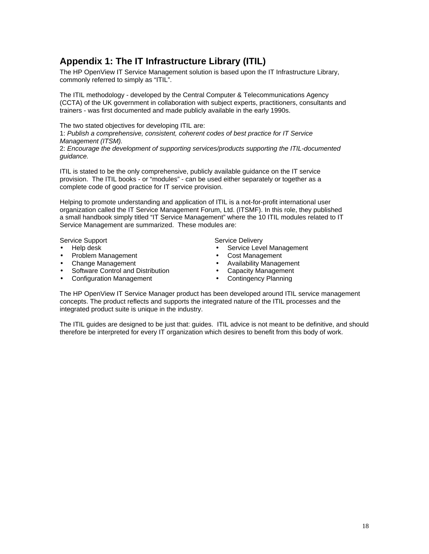# **Appendix 1: The IT Infrastructure Library (ITIL)**

The HP OpenView IT Service Management solution is based upon the IT Infrastructure Library, commonly referred to simply as "ITIL".

The ITIL methodology - developed by the Central Computer & Telecommunications Agency (CCTA) of the UK government in collaboration with subject experts, practitioners, consultants and trainers - was first documented and made publicly available in the early 1990s.

The two stated objectives for developing ITIL are:

1: *Publish a comprehensive, consistent, coherent codes of best practice for IT Service Management (ITSM).*

2: *Encourage the development of supporting services/products supporting the ITIL-documented guidance.*

ITIL is stated to be the only comprehensive, publicly available guidance on the IT service provision. The ITIL books - or "modules" - can be used either separately or together as a complete code of good practice for IT service provision.

Helping to promote understanding and application of ITIL is a not-for-profit international user organization called the IT Service Management Forum, Ltd. (ITSMF). In this role, they published a small handbook simply titled "IT Service Management" where the 10 ITIL modules related to IT Service Management are summarized. These modules are:

Service Support Service Delivery

- Help desk
- Problem Management
- Change Management
- Software Control and Distribution
- Configuration Management

- Service Level Management
- Cost Management
- Availability Management
- Capacity Management
- Contingency Planning

The HP OpenView IT Service Manager product has been developed around ITIL service management concepts. The product reflects and supports the integrated nature of the ITIL processes and the integrated product suite is unique in the industry.

The ITIL guides are designed to be just that: guides. ITIL advice is not meant to be definitive, and should therefore be interpreted for every IT organization which desires to benefit from this body of work.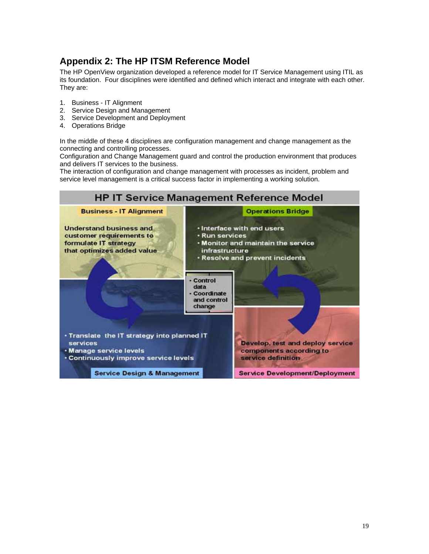# **Appendix 2: The HP ITSM Reference Model**

The HP OpenView organization developed a reference model for IT Service Management using ITIL as its foundation. Four disciplines were identified and defined which interact and integrate with each other. They are:

- 1. Business IT Alignment
- 2. Service Design and Management
- 3. Service Development and Deployment
- 4. Operations Bridge

In the middle of these 4 disciplines are configuration management and change management as the connecting and controlling processes.

Configuration and Change Management guard and control the production environment that produces and delivers IT services to the business.

The interaction of configuration and change management with processes as incident, problem and service level management is a critical success factor in implementing a working solution.

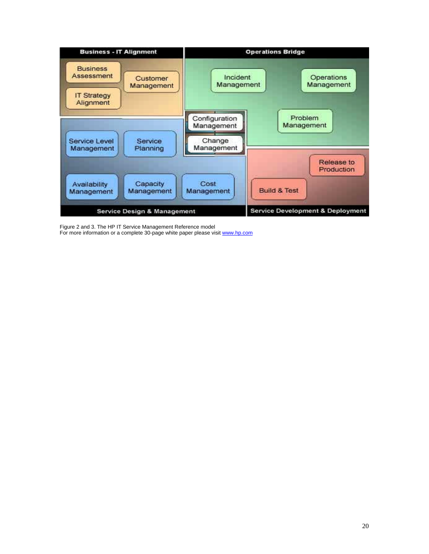

Figure 2 and 3. The HP IT Service Management Reference model For more information or a complete 30-page white paper please visit www.hp.com